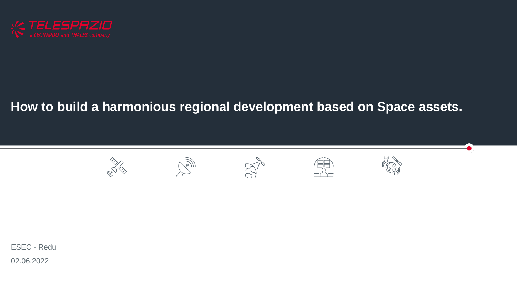

## **How to build a harmonious regional development based on Space assets.**



02.06.2022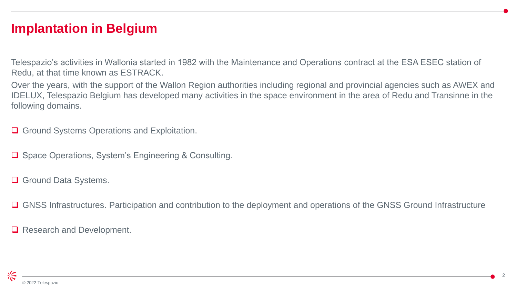#### **Implantation in Belgium**

Telespazio's activities in Wallonia started in 1982 with the Maintenance and Operations contract at the ESA ESEC station of Redu, at that time known as ESTRACK.

Over the years, with the support of the Wallon Region authorities including regional and provincial agencies such as AWEX and IDELUX, Telespazio Belgium has developed many activities in the space environment in the area of Redu and Transinne in the following domains.

**□** Ground Systems Operations and Exploitation.

**□** Space Operations, System's Engineering & Consulting.

Ground Data Systems.

□ GNSS Infrastructures. Participation and contribution to the deployment and operations of the GNSS Ground Infrastructure

Research and Development.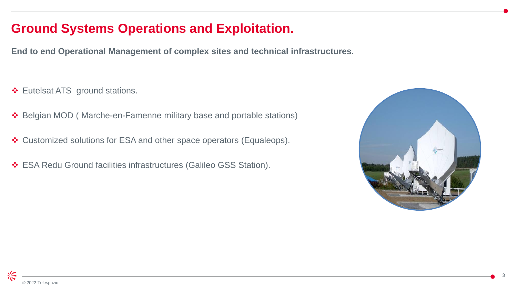## **Ground Systems Operations and Exploitation.**

**End to end Operational Management of complex sites and technical infrastructures.**

- Eutelsat ATS ground stations.
- Belgian MOD ( Marche-en-Famenne military base and portable stations)
- Customized solutions for ESA and other space operators (Equaleops).
- ESA Redu Ground facilities infrastructures (Galileo GSS Station).

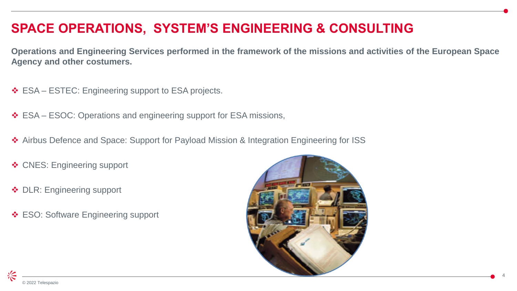# **SPACE OPERATIONS, SYSTEM'S ENGINEERING & CONSULTING**

**Operations and Engineering Services performed in the framework of the missions and activities of the European Space Agency and other costumers.**

- **❖ ESA ESTEC: Engineering support to ESA projects.**
- ESA ESOC: Operations and engineering support for ESA missions,
- ◆ Airbus Defence and Space: Support for Payload Mission & Integration Engineering for ISS
- ❖ CNES: Engineering support
- ◆ DLR: Engineering support
- **❖ ESO: Software Engineering support**

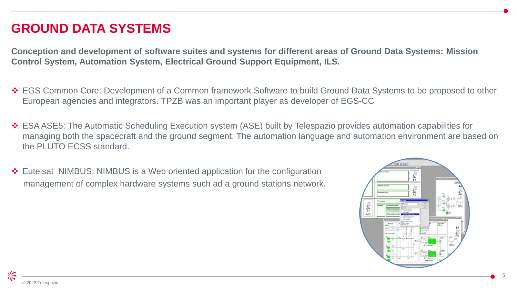## **GROUND DATA SYSTEMS**

**Conception and development of software suites and systems for different areas of Ground Data Systems: Mission Control System, Automation System, Electrical Ground Support Equipment, ILS.**

- EGS Common Core: Development of a Common framework Software to build Ground Data Systems to be proposed to other European agencies and integrators. TPZB was an important player as developer of EGS-CC
- ESA ASE5: The Automatic Scheduling Execution system (ASE) built by Telespazio provides automation capabilities for managing both the spacecraft and the ground segment. The automation language and automation environment are based on the PLUTO FCSS standard.
- Eutelsat NIMBUS: NIMBUS is a Web oriented application for the configuration management of complex hardware systems such ad a ground stations network.



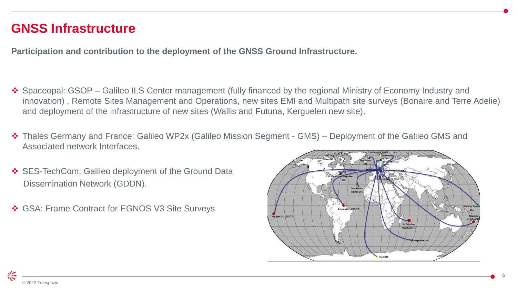#### **GNSS Infrastructure**

**Participation and contribution to the deployment of the GNSS Ground Infrastructure.**

- ◆ Spaceopal: GSOP Galileo ILS Center management (fully financed by the regional Ministry of Economy Industry and innovation) , Remote Sites Management and Operations, new sites EMI and Multipath site surveys (Bonaire and Terre Adelie) and deployment of the infrastructure of new sites (Wallis and Futuna, Kerguelen new site).
- Thales Germany and France: Galileo WP2x (Galileo Mission Segment GMS) Deployment of the Galileo GMS and Associated network Interfaces.
- SES-TechCom: Galileo deployment of the Ground Data Dissemination Network (GDDN).
- GSA: Frame Contract for EGNOS V3 Site Surveys

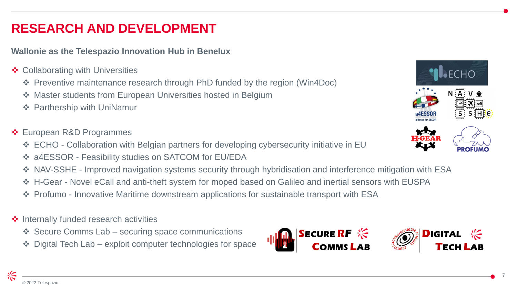## **RESEARCH AND DEVELOPMENT**

#### **Wallonie as the Telespazio Innovation Hub in Benelux**

- **❖ Collaborating with Universities** 
	- Preventive maintenance research through PhD funded by the region (Win4Doc)
	- ◆ Master students from European Universities hosted in Belgium
	- **❖ Parthership with UniNamur**
- ❖ European R&D Programmes
	- ECHO Collaboration with Belgian partners for developing cybersecurity initiative in EU
	- a4ESSOR Feasibility studies on SATCOM for EU/EDA
	- NAV-SSHE Improved navigation systems security through hybridisation and interference mitigation with ESA
	- H-Gear Novel eCall and anti-theft system for moped based on Galileo and inertial sensors with EUSPA
	- Profumo Innovative Maritime downstream applications for sustainable transport with ESA
- $\triangle$  Internally funded research activities
	- $\div$  Secure Comms Lab securing space communications
	- Digital Tech Lab exploit computer technologies for space